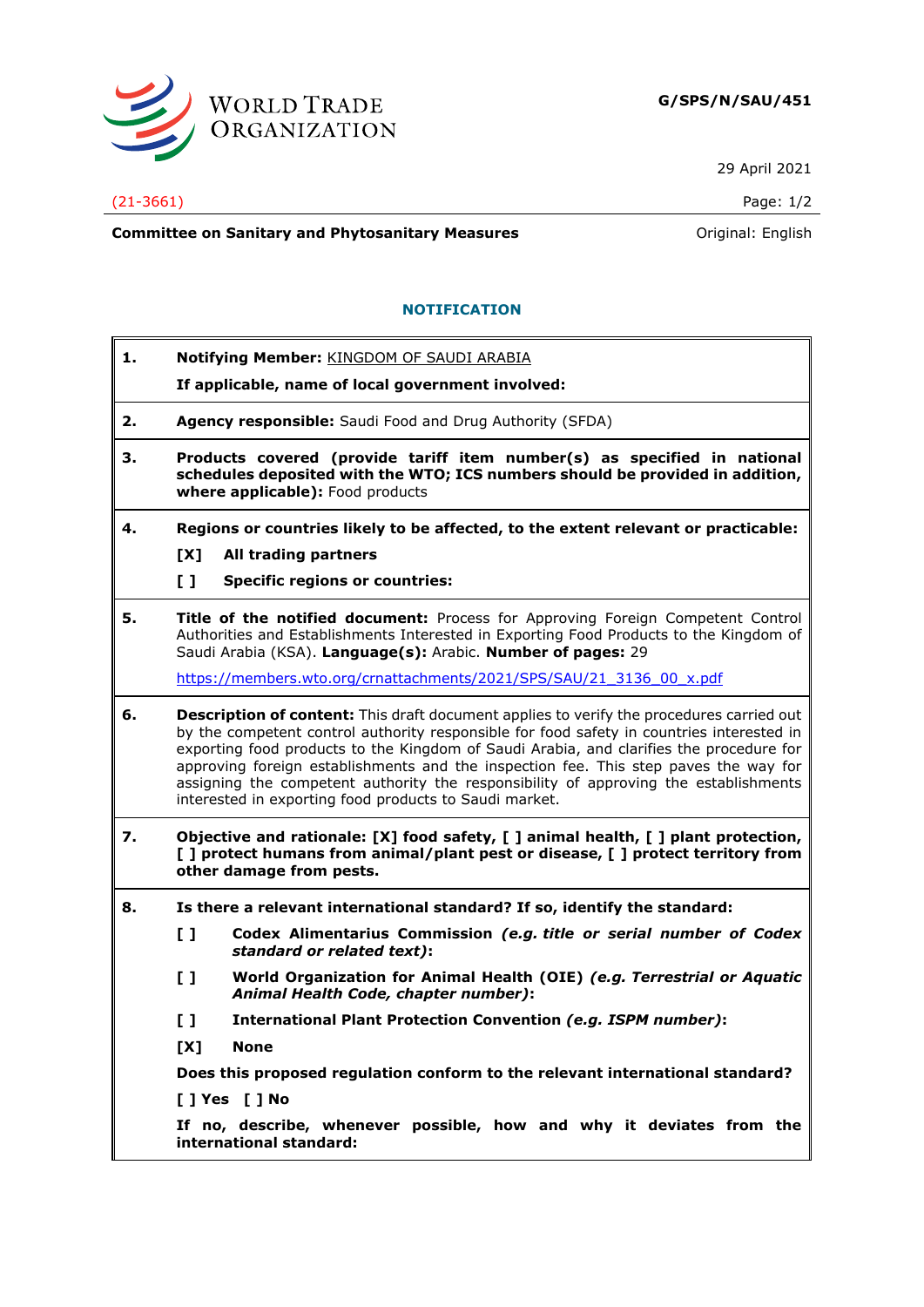

29 April 2021

## (21-3661) Page: 1/2

**Committee on Sanitary and Phytosanitary Measures Committee on Sanitary and Phytosanitary Measures Committee And American** 

## **NOTIFICATION**

**1. Notifying Member:** KINGDOM OF SAUDI ARABIA

**If applicable, name of local government involved:**

- **2. Agency responsible:** Saudi Food and Drug Authority (SFDA)
- **3. Products covered (provide tariff item number(s) as specified in national schedules deposited with the WTO; ICS numbers should be provided in addition, where applicable):** Food products
- **4. Regions or countries likely to be affected, to the extent relevant or practicable: [X] All trading partners**
	-
	- **[ ] Specific regions or countries:**
- **5. Title of the notified document:** Process for Approving Foreign Competent Control Authorities and Establishments Interested in Exporting Food Products to the Kingdom of Saudi Arabia (KSA). **Language(s):** Arabic. **Number of pages:** 29

[https://members.wto.org/crnattachments/2021/SPS/SAU/21\\_3136\\_00\\_x.pdf](https://members.wto.org/crnattachments/2021/SPS/SAU/21_3136_00_x.pdf)

- **6. Description of content:** This draft document applies to verify the procedures carried out by the competent control authority responsible for food safety in countries interested in exporting food products to the Kingdom of Saudi Arabia, and clarifies the procedure for approving foreign establishments and the inspection fee. This step paves the way for assigning the competent authority the responsibility of approving the establishments interested in exporting food products to Saudi market.
- **7. Objective and rationale: [X] food safety, [ ] animal health, [ ] plant protection, [ ] protect humans from animal/plant pest or disease, [ ] protect territory from other damage from pests.**
- **8. Is there a relevant international standard? If so, identify the standard:**
	- **[ ] Codex Alimentarius Commission** *(e.g. title or serial number of Codex standard or related text)***:**
	- **[ ] World Organization for Animal Health (OIE)** *(e.g. Terrestrial or Aquatic Animal Health Code, chapter number)***:**
	- **[ ] International Plant Protection Convention** *(e.g. ISPM number)***:**
	- **[X] None**

**Does this proposed regulation conform to the relevant international standard?** 

**[ ] Yes [ ] No**

**If no, describe, whenever possible, how and why it deviates from the international standard:**